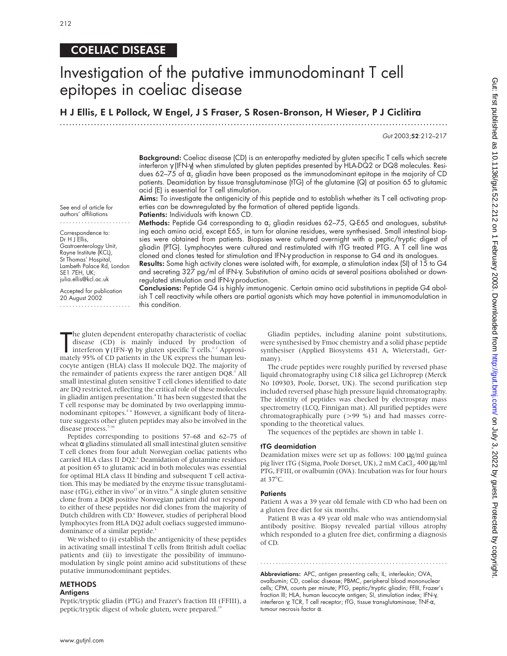## COELIAC DISEASE

# Investigation of the putative immunodominant T cell epitopes in coeliac disease

H J Ellis, E L Pollock, W Engel, J S Fraser, S Rosen-Bronson, H Wieser, P J Ciclitira

.............................................................................................................................

Gut 2003;52:212–217

Background: Coeliac disease (CD) is an enteropathy mediated by gluten specific T cells which secrete interferon γ (IFN-γ) when stimulated by gluten peptides presented by HLA-DQ2 or DQ8 molecules. Residues 62–75 of  $\alpha$ , gliadin have been proposed as the immunodominant epitope in the majority of CD patients. Deamidation by tissue transglutaminase (tTG) of the glutamine (Q) at position 65 to glutamic acid (E) is essential for T cell stimulation.

Aims: To investigate the antigenicity of this peptide and to establish whether its T cell activating properties can be downregulated by the formation of altered peptide ligands. Patients: Individuals with known CD.

See end of article for authors' affiliations .......................

Gastroenterology Unit, Rayne Institute (KCL), St Thomas' Hospital, Lambeth Palace Rd, London

Correspondence to: Dr H J Ellis.

SE1 7EH, UK; julia.ellis@kcl.ac.uk Accepted for publication 20 August 2002 ....................... Methods: Peptide G4 corresponding to  $\alpha_2$  gliadin residues 62-75, Q-E65 and analogues, substituting each amino acid, except E65, in turn for alanine residues, were synthesised. Small intestinal biopsies were obtained from patients. Biopsies were cultured overnight with a peptic/tryptic digest of gliadin (PTG). Lymphocytes were cultured and restimulated with tTG treated PTG. A T cell line was cloned and clones tested for stimulation and IFN-γ production in response to G4 and its analogues.

Results: Some high activity clones were isolated with, for example, a stimulation index (SI) of 15 to G4 and secreting 327 pg/ml of IFN-γ. Substitution of amino acids at several positions abolished or downregulated stimulation and IFN-γ production.

Conclusions: Peptide G4 is highly immunogenic. Certain amino acid substitutions in peptide G4 abolish T cell reactivity while others are partial agonists which may have potential in immunomodulation in this condition.

The gluten dependent enteropathy characteristic of coeliac<br>disease (CD) is mainly induced by production of<br>interferon  $\gamma$  (IFN- $\gamma$ ) by gluten specific T cells.<sup>12</sup> Approxi-<br>mately 95% of CD patients in the UK express th he gluten dependent enteropathy characteristic of coeliac disease (CD) is mainly induced by production of interferon γ (IFN-γ) by gluten specific T cells.<sup>1,2</sup> Approxicocyte antigen (HLA) class II molecule DQ2. The majority of the remainder of patients express the rarer antigen DQ8.<sup>3</sup> All small intestinal gluten sensitive T cell clones identified to date are DQ restricted, reflecting the critical role of these molecules in gliadin antigen presentation.<sup>4</sup> It has been suggested that the T cell response may be dominated by two overlapping immunodominant epitopes.<sup>56</sup> However, a significant body of literature suggests other gluten peptides may also be involved in the disease process.<sup>7-1</sup>

Peptides corresponding to positions 57–68 and 62–75 of wheat  $\alpha$  gliadins stimulated all small intestinal gluten sensitive T cell clones from four adult Norwegian coeliac patients who carried HLA class II DQ2.<sup>6</sup> Deamidation of glutamine residues at position 65 to glutamic acid in both molecules was essential for optimal HLA class II binding and subsequent T cell activation. This may be mediated by the enzyme tissue transglutaminase (tTG), either in vivo<sup>17</sup> or in vitro.<sup>18</sup> A single gluten sensitive clone from a DQ8 positive Norwegian patient did not respond to either of these peptides nor did clones from the majority of Dutch children with CD.<sup>6</sup> However, studies of peripheral blood lymphocytes from HLA DQ2 adult coeliacs suggested immunodominance of a similar peptide.<sup>5</sup>

We wished to (i) establish the antigenicity of these peptides in activating small intestinal T cells from British adult coeliac patients and (ii) to investigate the possibility of immunomodulation by single point amino acid substitutions of these putative immunodominant peptides.

#### METHODS

Peptic/tryptic gliadin (PTG) and Frazer's fraction III (FFIII), a peptic/tryptic digest of whole gluten, were prepared.<sup>19</sup>

Gliadin peptides, including alanine point substitutions, were synthesised by Fmoc chemistry and a solid phase peptide synthesiser (Applied Biosystems 431 A, Wieterstadt, Germany).

The crude peptides were roughly purified by reversed phase liquid chromatography using C18 silica gel Lichroprep (Merck No 109303, Poole, Dorset, UK). The second purification step included reversed phase high pressure liquid chromatography. The identity of peptides was checked by electrospray mass spectrometry (LCQ, Finnigan mat). All purified peptides were chromatographically pure (>99 %) and had masses corresponding to the theoretical values.

The sequences of the peptides are shown in table 1.

#### tTG deamidation

Deamidation mixes were set up as follows: 100 µg/ml guinea pig liver tTG (Sigma, Poole Dorset, UK), 2 mM CaCl<sub>2</sub>, 400 µg/ml PTG, FFIII, or ovalbumin (OVA). Incubation was for four hours at 37°C.

#### **Patients**

Patient A was a 39 year old female with CD who had been on a gluten free diet for six months.

Patient B was a 49 year old male who was antiendomysial antibody positive. Biopsy revealed partial villous atrophy which responded to a gluten free diet, confirming a diagnosis of CD.

.............................................................

Abbreviations: APC, antigen presenting cells; IL, interleukin; OVA, ovalbumin; CD, coeliac disease; PBMC, peripheral blood mononuclear cells; CPM, counts per minute; PTG, peptic/tryptic gliadin; FFIII, Frazer's fraction III; HLA, human leucocyte antigen; SI, stimulation index; IFN-γ, interferon γ; TCR, T cell receptor; tTG, tissue transglutaminase; TNF-α, tumour necrosis factor α.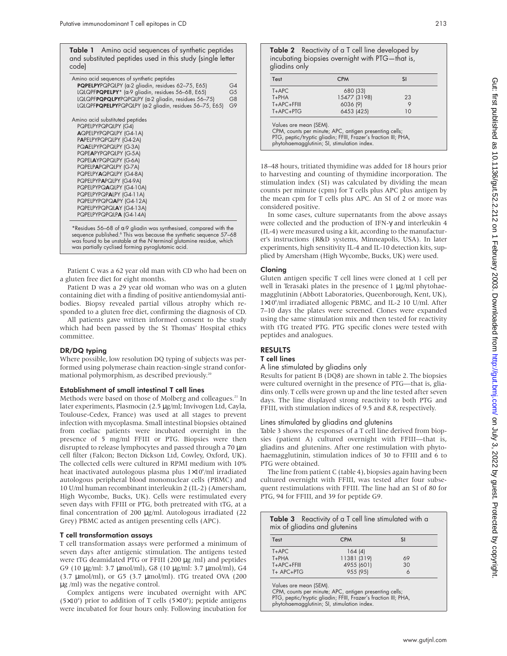**Table 1** Amino acid sequences of synthetic peptides and substituted peptides used in this study (single letter code)

| Amino acid sequences of synthetic peptides                                |                |
|---------------------------------------------------------------------------|----------------|
| <b>PQPELPY</b> PQPQLPY ( $\alpha$ -2 gliadin, residues 62-75, E65)        | G4             |
| $LQLQPFPQPELPY* (\alpha-9 \text{ gliadin}, \text{residues } 56-68, E65)$  | G <sub>5</sub> |
| LQLQPFPQPQLPYPQPQLPY (a-2 gliadin, residues 56-75)                        | G8             |
| LQLQPFPQPELPYPQPQLPY (a-2 gliadin, residues 56-75, E65)                   | G9             |
| Amino acid substituted peptides                                           |                |
| PQPELPYPQPQLPY (G4)                                                       |                |
| AQPELPYPQPQLPY (G4-1A)                                                    |                |
| PAPELPYPQPQLPY (G4-2A)                                                    |                |
| PQAELPYPQPQLPY (G-3A)                                                     |                |
| PQPEAPYPQPQLPY (G-5A)                                                     |                |
| PQPELAYPQPQLPY (G-6A)                                                     |                |
| PQPELPAPQPQLPY (G-7A)                                                     |                |
| PQPELPYAQPQLPY (G4-8A)                                                    |                |
| PQPELPYPAPQLPY (G4-9A)                                                    |                |
| PQPELPYPQAQLPY (G4-10A)                                                   |                |
| PQPELPYPQPALPY (G4-11A)                                                   |                |
| PQPELPYPQPQAPY (G4-12A)                                                   |                |
| PQPELPYPQPQLAY (G4-13A)                                                   |                |
| PQPELPYPQPQLPA (G4-14A)                                                   |                |
| * Pacidual 56, 68 at $\alpha$ O aliadin was symthosized compared with the |                |

\*Residues 56–68 of α-9 gliadin was synthesised, compared with the<br>sequence published.<sup>6</sup> This was because the synthetic sequence 57–68 was found to be unstable at the N terminal glutamine residue, which was partially cyclised forming pyroglutamic acid.

Patient C was a 62 year old man with CD who had been on a gluten free diet for eight months.

Patient D was a 29 year old woman who was on a gluten containing diet with a finding of positive antiendomysial antibodies. Biopsy revealed partial villous atrophy which responded to a gluten free diet, confirming the diagnosis of CD.

All patients gave written informed consent to the study which had been passed by the St Thomas' Hospital ethics committee.

### DR/DQ typing

Where possible, low resolution DQ typing of subjects was performed using polymerase chain reaction-single strand conformational polymorphism, as described previously.<sup>20</sup>

### Establishment of small intestinal T cell lines

Methods were based on those of Molberg and colleagues.<sup>21</sup> In later experiments, Plasmocin (2.5 µg/ml; Invivogen Ltd, Cayla, Toulouse-Cedex, France) was used at all stages to prevent infection with mycoplasma. Small intestinal biopsies obtained from coeliac patients were incubated overnight in the presence of 5 mg/ml FFIII or PTG. Biopsies were then disrupted to release lymphocytes and passed through a 70  $\mu$ m cell filter (Falcon; Becton Dickson Ltd, Cowley, Oxford, UK). The collected cells were cultured in RPMI medium with 10% heat inactivated autologous plasma plus 1×10<sup>6</sup>/ml irradiated autologous peripheral blood mononuclear cells (PBMC) and 10 U/ml human recombinant interleukin 2 (IL-2) (Amersham, High Wycombe, Bucks, UK). Cells were restimulated every seven days with FFIII or PTG, both pretreated with tTG, at a final concentration of 200 µg/ml. Autologous irradiated (22 Grey) PBMC acted as antigen presenting cells (APC).

### T cell transformation assays

T cell transformation assays were performed a minimum of seven days after antigenic stimulation. The antigens tested were tTG deamidated PTG or FFIII (200 µg /ml) and peptides G9 (10 µg/ml: 3.7 µmol/ml), G8 (10 µg/ml: 3.7 µmol/ml), G4 (3.7 µmol/ml), or G5 (3.7 µmol/ml). tTG treated OVA (200 µg /ml) was the negative control.

Complex antigens were incubated overnight with APC  $(5 \times 10^4)$  prior to addition of T cells  $(5 \times 10^4)$ ; peptide antigens were incubated for four hours only. Following incubation for

Table 2 Reactivity of a T cell line developed by incubating biopsies overnight with PTG—that is, gliadins only

| Test        | <b>CPM</b>   | <b>SI</b> |
|-------------|--------------|-----------|
| $T + APC$   | 680 (33)     |           |
| $T + PHA$   | 15477 (3198) | 23        |
| T+APC+FFIII | 6036 (9)     |           |
| $T+APC+PTG$ | 6453 (425)   | 10        |

Values are mean (SEM). CPM, counts per minute; APC, antigen presenting cells; PTG, peptic/tryptic gliadin; FFIII, Frazer's fraction III; PHA, phytohaemagglutinin; SI, stimulation index.

18–48 hours, tritiated thymidine was added for 18 hours prior to harvesting and counting of thymidine incorporation. The stimulation index (SI) was calculated by dividing the mean counts per minute (cpm) for T cells plus APC plus antigen by the mean cpm for T cells plus APC. An SI of 2 or more was considered positive.

In some cases, culture supernatants from the above assays were collected and the production of IFN-γ and interleukin 4 (IL-4) were measured using a kit, according to the manufacturer's instructions (R&D systems, Minneapolis, USA). In later experiments, high sensitivity IL-4 and IL-10 detection kits, supplied by Amersham (High Wycombe, Bucks, UK) were used.

## Cloning

Gluten antigen specific T cell lines were cloned at 1 cell per well in Terasaki plates in the presence of 1 µg/ml phytohaemagglutinin (Abbott Laboratories, Queenborough, Kent, UK), 1×106 /ml irradiated allogenic PBMC, and IL-2 10 U/ml. After 7–10 days the plates were screened. Clones were expanded using the same stimulation mix and then tested for reactivity with tTG treated PTG. PTG specific clones were tested with peptides and analogues.

## RESULTS

## T cell lines

#### A line stimulated by gliadins only

Results for patient B (DQ8) are shown in table 2. The biopsies were cultured overnight in the presence of PTG—that is, gliadins only. T cells were grown up and the line tested after seven days. The line displayed strong reactivity to both PTG and FFIII, with stimulation indices of 9.5 and 8.8, respectively.

## Lines stimulated by gliadins and glutenins

Table 3 shows the responses of a T cell line derived from biopsies (patient A) cultured overnight with FFIII—that is, gliadins and glutenins. After one restimulation with phytohaemagglutinin, stimulation indices of 30 to FFIII and 6 to PTG were obtained.

The line from patient C (table 4), biopsies again having been cultured overnight with FFIII, was tested after four subsequent restimulations with FFIII. The line had an SI of 80 for PTG, 94 for FFIII, and 39 for peptide G9.

| Table 3 Reactivity of a T cell line stimulated with a<br>mix of gliadins and glutenins |             |           |  |  |  |  |  |  |  |
|----------------------------------------------------------------------------------------|-------------|-----------|--|--|--|--|--|--|--|
| Test                                                                                   | <b>CPM</b>  | <b>SI</b> |  |  |  |  |  |  |  |
| $T + APC$                                                                              | 164(4)      |           |  |  |  |  |  |  |  |
| $T + PHA$                                                                              | 11381 (319) | 69        |  |  |  |  |  |  |  |
| T+APC+FFIII                                                                            | 4955 (601)  | 30        |  |  |  |  |  |  |  |
| T+ APC+PTG                                                                             | 955 (95)    | 6         |  |  |  |  |  |  |  |

Values are mean (SEM).

CPM, counts per minute; APC, antigen presenting cells; PTG, peptic/tryptic gliadin; FFIII, Frazer's fraction III; PHA, phytohaemagglutinin; SI, stimulation index.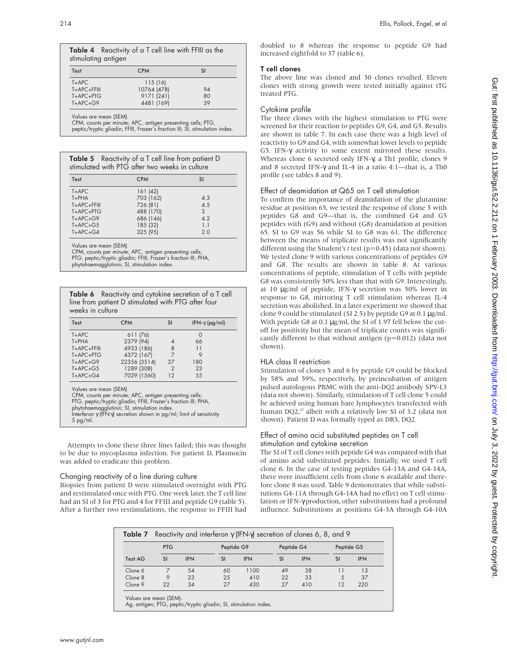|                     | Table 4 Reactivity of a T cell line with FFIII as the |
|---------------------|-------------------------------------------------------|
| stimulating antigen |                                                       |
|                     |                                                       |

| Test              | <b>CPM</b>  | SI |  |
|-------------------|-------------|----|--|
| $T + APC$         | 115(16)     |    |  |
| $T + APC + FFIII$ | 10764 (478) | 94 |  |
| $T+APC+PTG$       | 9171 (241)  | 80 |  |
| $T+APC+G9$        | 4481 (169)  | 39 |  |
|                   |             |    |  |

Values are mean (SEM).

CPM, counts per minute; APC, antigen presenting cells; PTG, peptic/tryptic gliadin; FFIII, Frazer's fraction III; SI, stimulation index.

Table 5 Reactivity of a T cell line from patient D stimulated with PTG after two weeks in culture

| Test              | <b>CPM</b> | <b>SI</b> |  |
|-------------------|------------|-----------|--|
| $T+APC$           | 161(42)    |           |  |
| $T + PHA$         | 703 (162)  | 4.3       |  |
| $T + APC + FFIII$ | 726 (81)   | 4.5       |  |
| $T+APC+PTG$       | 488 (170)  | 3         |  |
| $T+APC+G9$        | 686 (146)  | 4.2       |  |
| $T+APC+G5$        | 185 (32)   | 1.1       |  |
| $T+APC+G4$        | 325 (95)   | 2.0       |  |

Values are mean (SEM).

CPM, counts per minute; APC, antigen presenting cells;

PTG, peptic/tryptic gliadin; FFIII, Frazer's fraction III; PHA, phytohaemagglutinin; SI, stimulation index.

Table 6 Reactivity and cytokine secretion of a T cell line from patient D stimulated with PTG after four weeks in culture

| Test        | <b>CPM</b>   | SI | IFN- $\gamma$ (pg/ml) |
|-------------|--------------|----|-----------------------|
| $T + APC$   | 611 (76)     |    | 0                     |
| $T + PHA$   | 2379 (94)    |    | 66                    |
| T+APC+FFIII | 4933 (186)   | 8  | 11                    |
| $T+APC+PTG$ | 4372 (167)   |    | 9                     |
| $T+APC+G9$  | 22356 (3514) | 37 | 180                   |
| $T+APC+G5$  | 1289 (308)   | 2  | 23                    |
| $T+APC+G4$  | 7029 (1560)  | 12 | 55                    |

Values are mean (SEM).

CPM, counts per minute; APC, antigen presenting cells;

PTG, peptic/tryptic gliadin; FFIII, Frazer's fraction III; PHA,

phytohaemagglutinin; SI, stimulation index. Interferon γ (IFN-γ) secretion shown in pg/ml; limit of sensitivity 5 pg/ml.

Attempts to clone these three lines failed; this was thought to be due to mycoplasma infection. For patient D, Plasmocin was added to eradicate this problem.

## Changing reactivity of a line during culture

Biopsies from patient D were stimulated overnight with PTG and restimulated once with PTG. One week later, the T cell line had an SI of 3 for PTG and 4 for FFIII and peptide G9 (table 5). After a further two restimulations, the response to FFIII had doubled to 8 whereas the response to peptide G9 had increased eightfold to 37 (table 6).

## T cell clones

The above line was cloned and 30 clones resulted. Eleven clones with strong growth were tested initially against tTG treated PTG.

## Cytokine profile

The three clones with the highest stimulation to PTG were screened for their reaction to peptides G9, G4, and G5. Results are shown in table 7. In each case there was a high level of reactivity to G9 and G4, with somewhat lower levels to peptide G5. IFN-γ activity to some extent mirrored these results. Whereas clone 6 secreted only IFN-γ, a Th1 profile, clones 9 and 8 secreted IFN-γ and IL-4 in a ratio 4:1—that is, a Th0 profile (see tables 8 and 9).

## Effect of deamidation at Q65 on T cell stimulation

To confirm the importance of deamidation of the glutamine residue at position 65, we tested the response of clone 5 with peptides G8 and G9—that is, the combined G4 and G5 peptides with (G9) and without (G8) deamidation at position 65. SI to G9 was 56 while SI to G8 was 61. The difference between the means of triplicate results was not significantly different using the Student's *t* test (p=0.45) (data not shown). We tested clone 9 with various concentrations of peptides G9 and G8. The results are shown in table 8. At various concentrations of peptide, stimulation of T cells with peptide G8 was consistently 50% less than that with G9. Interestingly, at 10 µg/ml of peptide, IFN-γ secretion was 50% lower in response to G8, mirroring T cell stimulation whereas IL-4 secretion was abolished. In a later experiment we showed that clone 9 could be stimulated (SI 2.5) by peptide G9 at 0.1 µg/ml. With peptide G8 at 0.1 µg/ml, the SI of 1.97 fell below the cutoff for positivity but the mean of triplicate counts was significantly different to that without antigen (p=0.012) (data not shown).

## HLA class II restriction

Stimulation of clones 5 and 6 by peptide G9 could be blocked by 58% and 59%, respectively, by preincubation of antigen pulsed autologous PBMC with the anti-DQ2 antibody SPV-L3 (data not shown). Similarly, stimulation of T cell clone 5 could be achieved using human bare lymphocytes transfected with human DQ2, $^{22}$  albeit with a relatively low SI of 3.2 (data not shown). Patient D was formally typed as DR3, DQ2.

## Effect of amino acid substituted peptides on T cell stimulation and cytokine secretion

The SI of T cell clones with peptide G4 was compared with that of amino acid substituted peptides. Initially, we used T cell clone 6. In the case of testing peptides G4-13A and G4-14A, there were insufficient cells from clone 6 available and therefore clone 8 was used. Table 9 demonstrates that while substitutions G4-11A through G4-14A had no effect on T cell stimulation or IFN-γ production, other substitutions had a profound influence. Substitutions at positions G4-3A through G4-10A

|                | <b>Table 7</b> Reactivity and interferon $\gamma$ (IFN- $\gamma$ ) secretion of clones 6, 8, and 9 |            |           |            |           |            |           |            |  |  |
|----------------|----------------------------------------------------------------------------------------------------|------------|-----------|------------|-----------|------------|-----------|------------|--|--|
|                | <b>PTG</b>                                                                                         |            |           | Peptide G9 |           | Peptide G4 |           | Peptide G5 |  |  |
| <b>Test AG</b> | <b>SI</b>                                                                                          | <b>IFN</b> | <b>SI</b> | <b>IFN</b> | <b>SI</b> | <b>IFN</b> | <b>SI</b> | <b>IFN</b> |  |  |
| Clone 6        |                                                                                                    | 54         | 60        | 1100       | 49        | 38         |           | 13         |  |  |
| Clone 8        |                                                                                                    | 23         | 25        | 410        | 22        | 33         | 5         | 37         |  |  |
| Clone 9        | 22                                                                                                 | 34         | 27        | 430        | 27        | 410        | 12        | 220        |  |  |

Values are mean (SEM). Ag, antigen; PTG, peptic/tryptic gliadin; SI, stimulation index.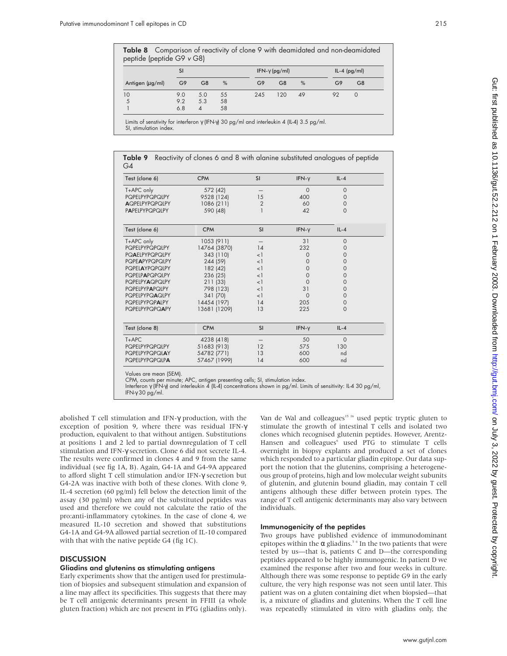peptide (peptide G9 <sup>v</sup> G8)

| SI<br>G9<br>Antigen (µg/ml)                                                                                                          |     |                     |    |                | IFN- $\gamma$ (pg/ml) |               | $IL-4$ (pg/ml)                                                             |                |  |
|--------------------------------------------------------------------------------------------------------------------------------------|-----|---------------------|----|----------------|-----------------------|---------------|----------------------------------------------------------------------------|----------------|--|
|                                                                                                                                      |     | G <sub>8</sub><br>% |    | G9             | G <sub>8</sub><br>%   |               | G9                                                                         | G <sub>8</sub> |  |
| 10                                                                                                                                   | 9.0 | 5.0                 | 55 | 245            | 120                   | 49            | 92                                                                         | $\mathbf 0$    |  |
| 5                                                                                                                                    | 9.2 | 5.3                 | 58 |                |                       |               |                                                                            |                |  |
| $\mathbf{1}$                                                                                                                         | 6.8 | $\overline{4}$      | 58 |                |                       |               |                                                                            |                |  |
| Limits of senstivity for interferon $\gamma$ (IFN- $\gamma$ ) 30 pg/ml and interleukin 4 (IL-4) 3.5 pg/ml.<br>SI, stimulation index. |     |                     |    |                |                       |               |                                                                            |                |  |
| Table 9<br>G4                                                                                                                        |     |                     |    |                |                       |               | Reactivity of clones 6 and 8 with alanine substituted analogues of peptide |                |  |
| Test (clone 6)                                                                                                                       |     | <b>CPM</b>          |    | <b>SI</b>      |                       | IFN- $\gamma$ | $IL-4$                                                                     |                |  |
| T+APC only                                                                                                                           |     | 572 (42)            |    |                |                       | $\Omega$      | $\mathbf{O}$                                                               |                |  |
| PQPELPYPQPQLPY                                                                                                                       |     | 9528 (124)          |    | 15             |                       | 400           | $\mathbf{O}$                                                               |                |  |
| <b>AQPELPYPQPQLPY</b>                                                                                                                |     | 1086 (211)          |    | $\overline{2}$ |                       | 60            | $\mathbf{O}$                                                               |                |  |
| <b>PAPELPYPQPQLPY</b>                                                                                                                |     | 590 (48)            |    | $\mathbf{1}$   |                       | 42            | $\Omega$                                                                   |                |  |
| Test (clone 6)                                                                                                                       |     | <b>CPM</b>          |    | <b>SI</b>      |                       | IFN- $\gamma$ | $IL-4$                                                                     |                |  |
| T+APC only                                                                                                                           |     | 1053 (911)          |    |                |                       | 31            | $\circ$                                                                    |                |  |
| PQPELPYPQPQLPY                                                                                                                       |     | 14764 (3870)        |    | 14             |                       | 232           | $\mathbf{O}$                                                               |                |  |
| <b>PQAELPYPQPQLPY</b>                                                                                                                |     | 343 (110)           |    | $<$ ]          |                       | $\mathbf{O}$  | $\mathbf 0$                                                                |                |  |
| <b>PQPEAPYPQPQLPY</b>                                                                                                                |     | 244 (59)            |    | $<$ ]          |                       | $\mathbf{O}$  | $\mathbf 0$                                                                |                |  |
| <b>PQPELAYPQPQLPY</b>                                                                                                                |     | 182 (42)            |    | $<$ ]          |                       | $\circ$       | $\mathbf 0$                                                                |                |  |
| <b>PQPELPAPQPQLPY</b>                                                                                                                |     | 236 (25)            |    | $<$ ]          |                       | $\Omega$      | $\mathbf 0$                                                                |                |  |
| <b>PQPELPYAQPQLPY</b>                                                                                                                |     | 211 (33)            |    | $\leq$         |                       | $\Omega$      | $\mathbf 0$                                                                |                |  |
| <b>PQPELPYPAPQLPY</b>                                                                                                                |     | 798 (123)           |    | $\leq$         |                       | 31            | 0                                                                          |                |  |
| <b>PQPELPYPQAQLPY</b>                                                                                                                |     | 341 (70)            |    | $\leq$ 1       |                       | $\Omega$      | $\Omega$                                                                   |                |  |
| <b>PQPELPYPQPALPY</b>                                                                                                                |     | 14454 (197)         |    | 14             |                       | 205           | $\mathbf 0$                                                                |                |  |
| <b>PQPELPYPQPQAPY</b>                                                                                                                |     | 13681 (1209)        |    | 13             |                       | 225           | $\Omega$                                                                   |                |  |
| Test (clone 8)                                                                                                                       |     | <b>CPM</b>          |    | <b>SI</b>      |                       | $IFN-v$       | $II - 4$                                                                   |                |  |

Table 8 Comparison of reactivity of clone 9 with deamidated and non-deamidated

| Test (clone 8)        | <b>CPM</b>   | <b>SI</b> | IFN- $\gamma$ | $IL - 4$ |  |
|-----------------------|--------------|-----------|---------------|----------|--|
| $T+APC$               | 4238 (418)   |           | 50            |          |  |
| <b>POPELPYPOPOLPY</b> | 51683 (913)  | 12        | 575           | 130      |  |
| <b>POPELPYPOPOLAY</b> | 54782 (771)  | 13        | 600           | nd       |  |
| <b>POPELPYPOPOLPA</b> | 57467 (1999) | 14        | 600           | nd       |  |

Values are mean (SEM).

CPM, counts per minute; APC, antigen presenting cells; SI, stimulation index.

Interferon γ (IFN-γ) and interleukin 4 (IL-4) concentrations shown in pg/ml. Limits of sensitivity: IL-4 30 pg/ml, IFN-γ 30 pg/ml.

abolished T cell stimulation and IFN-γ production, with the exception of position 9, where there was residual IFN-γ production, equivalent to that without antigen. Substitutions at positions 1 and 2 led to partial downregulation of T cell stimulation and IFN-γ secretion. Clone 6 did not secrete IL-4. The results were confirmed in clones 4 and 9 from the same individual (see fig 1A, B). Again, G4-1A and G4-9A appeared to afford slight T cell stimulation and/or IFN-γ secretion but G4-2A was inactive with both of these clones. With clone 9, IL-4 secretion (60 pg/ml) fell below the detection limit of the assay (30 pg/ml) when any of the substituted peptides was used and therefore we could not calculate the ratio of the pro:anti-inflammatory cytokines. In the case of clone 4, we measured IL-10 secretion and showed that substitutions G4-1A and G4-9A allowed partial secretion of IL-10 compared with that with the native peptide G4 (fig 1C).

## **DISCUSSION**

## Gliadins and glutenins as stimulating antigens

Early experiments show that the antigen used for prestimulation of biopsies and subsequent stimulation and expansion of a line may affect its specificities. This suggests that there may be T cell antigenic determinants present in FFIII (a whole gluten fraction) which are not present in PTG (gliadins only).

Van de Wal and colleagues<sup>15 16</sup> used peptic tryptic gluten to stimulate the growth of intestinal T cells and isolated two clones which recognised glutenin peptides. However, Arentz-Hansen and colleagues<sup>6</sup> used PTG to stimulate T cells overnight in biopsy explants and produced a set of clones which responded to a particular gliadin epitope. Our data support the notion that the glutenins, comprising a heterogeneous group of proteins, high and low molecular weight subunits of glutenin, and glutenin bound gliadin, may contain T cell antigens although these differ between protein types. The range of T cell antigenic determinants may also vary between individuals.

## Immunogenicity of the peptides

Two groups have published evidence of immunodominant epitopes within the  $\alpha$  gliadins.<sup>56</sup> In the two patients that were tested by us—that is, patients C and D—the corresponding peptides appeared to be highly immunogenic. In patient D we examined the response after two and four weeks in culture. Although there was some response to peptide G9 in the early culture, the very high response was not seen until later. This patient was on a gluten containing diet when biopsied—that is, a mixture of gliadins and glutenins. When the T cell line was repeatedly stimulated in vitro with gliadins only, the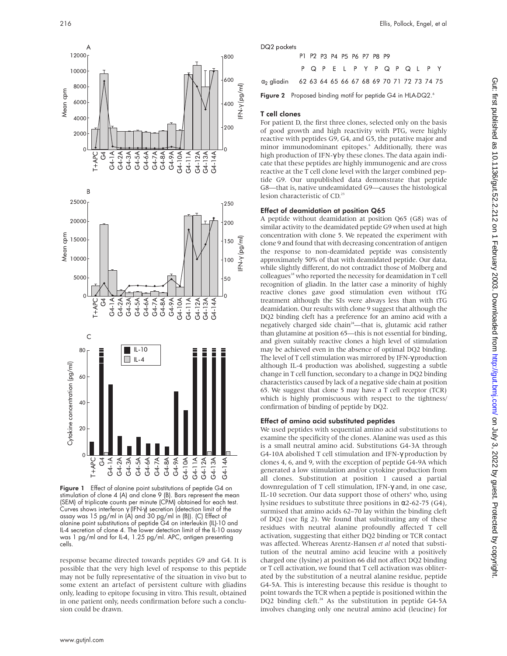





Figure 1 Effect of alanine point substitutions of peptide G4 on stimulation of clone 4 (A) and clone 9 (B). Bars represent the mean (SEM) of triplicate counts per minute (CPM) obtained for each test. Curves shows interferon γ (IFN-γ) secretion (detection limit of the assay was 15 pg/ml in (A) and 30 pg/ml in (B)). (C) Effect of alanine point substitutions of peptide G4 on interleukin (IL)-10 and IL-4 secretion of clone 4. The lower detection limit of the IL-10 assay was 1 pg/ml and for IL-4, 1.25 pg/ml. APC, antigen presenting cells.

response became directed towards peptides G9 and G4. It is possible that the very high level of response to this peptide may not be fully representative of the situation in vivo but to some extent an artefact of persistent culture with gliadins only, leading to epitope focusing in vitro. This result, obtained in one patient only, needs confirmation before such a conclusion could be drawn.

216 Ellis, Pollock, Engel, et al

DQ2 pockets

|                                                                                    |  | P1 P2 P3 P4 P5 P6 P7 P8 P9  |  |  |  |  |  |  |
|------------------------------------------------------------------------------------|--|-----------------------------|--|--|--|--|--|--|
|                                                                                    |  | P Q P E L P Y P Q P Q L P Y |  |  |  |  |  |  |
| α <sub>2</sub> aliadin      62  63  64  65  66  67  68  69  70  71  72  73  74  75 |  |                             |  |  |  |  |  |  |

Figure 2 Proposed binding motif for peptide G4 in HLA-DQ2.<sup>6</sup>

## T cell clones

For patient D, the first three clones, selected only on the basis of good growth and high reactivity with PTG, were highly reactive with peptides G9, G4, and G5, the putative major and minor immunodominant epitopes.<sup>6</sup> Additionally, there was high production of IFN-γ by these clones. The data again indicate that these peptides are highly immunogenic and are cross reactive at the T cell clone level with the larger combined peptide G9. Our unpublished data demonstrate that peptide G8—that is, native undeamidated G9—causes the histological lesion characteristic of CD.<sup>23</sup>

### Effect of deamidation at position Q65

A peptide without deamidation at position Q65 (G8) was of similar activity to the deamidated peptide G9 when used at high concentration with clone 5. We repeated the experiment with clone 9 and found that with decreasing concentration of antigen the response to non-deamidated peptide was consistently approximately 50% of that with deamidated peptide. Our data, while slightly different, do not contradict those of Molberg and colleagues<sup>18</sup> who reported the necessity for deamidation in T cell recognition of gliadin. In the latter case a minority of highly reactive clones gave good stimulation even without tTG treatment although the SIs were always less than with tTG deamidation. Our results with clone 9 suggest that although the DQ2 binding cleft has a preference for an amino acid with a negatively charged side chain<sup>24</sup>—that is, glutamic acid rather than glutamine at position 65—this is not essential for binding, and given suitably reactive clones a high level of stimulation may be achieved even in the absence of optimal DQ2 binding. The level of T cell stimulation was mirrored by IFN-γ production although IL-4 production was abolished, suggesting a subtle change in T cell function, secondary to a change in DQ2 binding characteristics caused by lack of a negative side chain at position 65. We suggest that clone 5 may have a T cell receptor (TCR) which is highly promiscuous with respect to the tightness/ confirmation of binding of peptide by DQ2.

### Effect of amino acid substituted peptides

We used peptides with sequential amino acid substitutions to examine the specificity of the clones. Alanine was used as this is a small neutral amino acid. Substitutions G4-3A through G4-10A abolished T cell stimulation and IFN-γ production by clones 4, 6, and 9, with the exception of peptide G4-9A which generated a low stimulation and/or cytokine production from all clones. Substitution at position 1 caused a partial downregulation of T cell stimulation, IFN-γ and, in one case, IL-10 secretion. Our data support those of others $6$  who, using lysine residues to substitute three positions in α2-62-75 (G4), surmised that amino acids 62–70 lay within the binding cleft of DQ2 (see fig 2). We found that substituting any of these residues with neutral alanine profoundly affected T cell activation, suggesting that either DQ2 binding or TCR contact was affected. Whereas Arentz-Hansen *et al* noted that substitution of the neutral amino acid leucine with a positively charged one (lysine) at position 66 did not affect DQ2 binding or T cell activation, we found that T cell activation was obliterated by the substitution of a neutral alanine residue, peptide G4-5A. This is interesting because this residue is thought to point towards the TCR when a peptide is positioned within the DQ2 binding cleft.<sup>24</sup> As the substitution in peptide G4-5A involves changing only one neutral amino acid (leucine) for